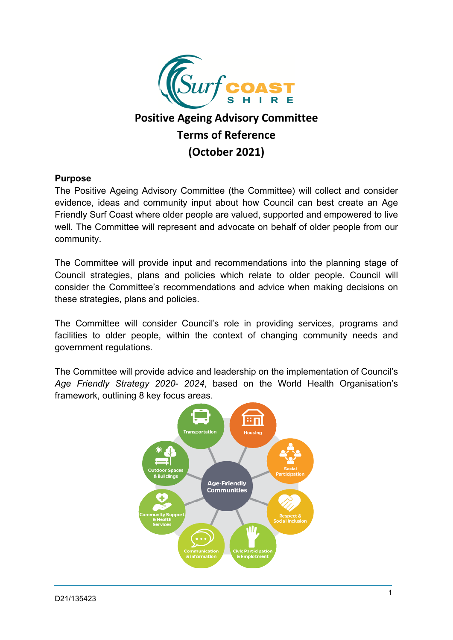

# **Positive Ageing Advisory Committee Terms of Reference (October 2021)**

#### **Purpose**

The Positive Ageing Advisory Committee (the Committee) will collect and consider evidence, ideas and community input about how Council can best create an Age Friendly Surf Coast where older people are valued, supported and empowered to live well. The Committee will represent and advocate on behalf of older people from our community.

The Committee will provide input and recommendations into the planning stage of Council strategies, plans and policies which relate to older people. Council will consider the Committee's recommendations and advice when making decisions on these strategies, plans and policies.

The Committee will consider Council's role in providing services, programs and facilities to older people, within the context of changing community needs and government regulations.

The Committee will provide advice and leadership on the implementation of Council's *Age Friendly Strategy 2020- 2024*, based on the World Health Organisation's framework, outlining 8 key focus areas.

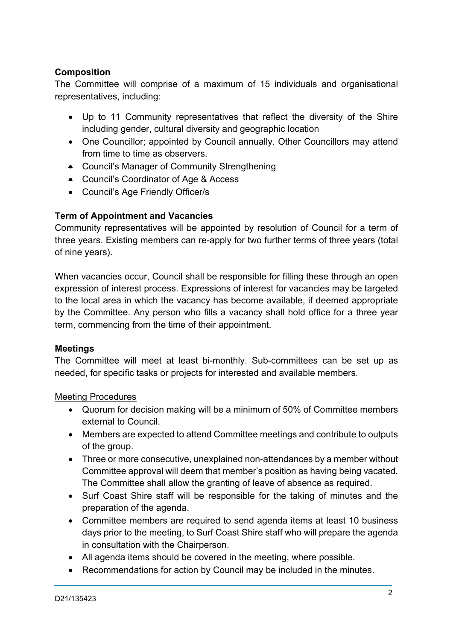# **Composition**

The Committee will comprise of a maximum of 15 individuals and organisational representatives, including:

- Up to 11 Community representatives that reflect the diversity of the Shire including gender, cultural diversity and geographic location
- One Councillor; appointed by Council annually. Other Councillors may attend from time to time as observers.
- Council's Manager of Community Strengthening
- Council's Coordinator of Age & Access
- Council's Age Friendly Officer/s

# **Term of Appointment and Vacancies**

Community representatives will be appointed by resolution of Council for a term of three years. Existing members can re-apply for two further terms of three years (total of nine years).

When vacancies occur, Council shall be responsible for filling these through an open expression of interest process. Expressions of interest for vacancies may be targeted to the local area in which the vacancy has become available, if deemed appropriate by the Committee. Any person who fills a vacancy shall hold office for a three year term, commencing from the time of their appointment.

#### **Meetings**

The Committee will meet at least bi-monthly. Sub-committees can be set up as needed, for specific tasks or projects for interested and available members.

#### Meeting Procedures

- Quorum for decision making will be a minimum of 50% of Committee members external to Council.
- Members are expected to attend Committee meetings and contribute to outputs of the group.
- Three or more consecutive, unexplained non-attendances by a member without Committee approval will deem that member's position as having being vacated. The Committee shall allow the granting of leave of absence as required.
- Surf Coast Shire staff will be responsible for the taking of minutes and the preparation of the agenda.
- Committee members are required to send agenda items at least 10 business days prior to the meeting, to Surf Coast Shire staff who will prepare the agenda in consultation with the Chairperson.
- All agenda items should be covered in the meeting, where possible.
- Recommendations for action by Council may be included in the minutes.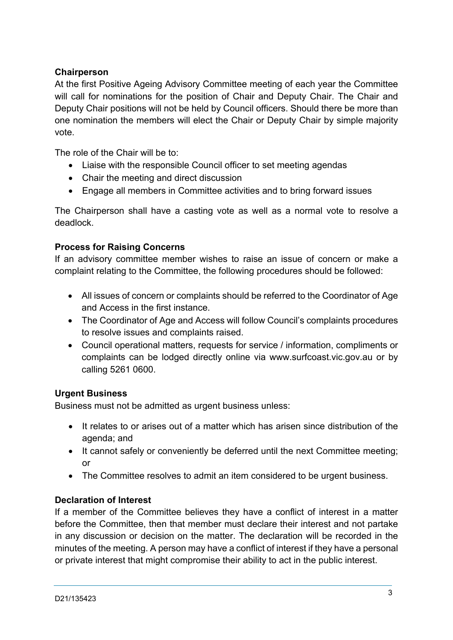# **Chairperson**

At the first Positive Ageing Advisory Committee meeting of each year the Committee will call for nominations for the position of Chair and Deputy Chair. The Chair and Deputy Chair positions will not be held by Council officers. Should there be more than one nomination the members will elect the Chair or Deputy Chair by simple majority vote.

The role of the Chair will be to:

- Liaise with the responsible Council officer to set meeting agendas
- Chair the meeting and direct discussion
- Engage all members in Committee activities and to bring forward issues

The Chairperson shall have a casting vote as well as a normal vote to resolve a deadlock.

# **Process for Raising Concerns**

If an advisory committee member wishes to raise an issue of concern or make a complaint relating to the Committee, the following procedures should be followed:

- All issues of concern or complaints should be referred to the Coordinator of Age and Access in the first instance.
- The Coordinator of Age and Access will follow Council's complaints procedures to resolve issues and complaints raised.
- Council operational matters, requests for service / information, compliments or complaints can be lodged directly online via www.surfcoast.vic.gov.au or by calling 5261 0600.

# **Urgent Business**

Business must not be admitted as urgent business unless:

- It relates to or arises out of a matter which has arisen since distribution of the agenda; and
- It cannot safely or conveniently be deferred until the next Committee meeting; or
- The Committee resolves to admit an item considered to be urgent business.

# **Declaration of Interest**

If a member of the Committee believes they have a conflict of interest in a matter before the Committee, then that member must declare their interest and not partake in any discussion or decision on the matter. The declaration will be recorded in the minutes of the meeting. A person may have a conflict of interest if they have a personal or private interest that might compromise their ability to act in the public interest.